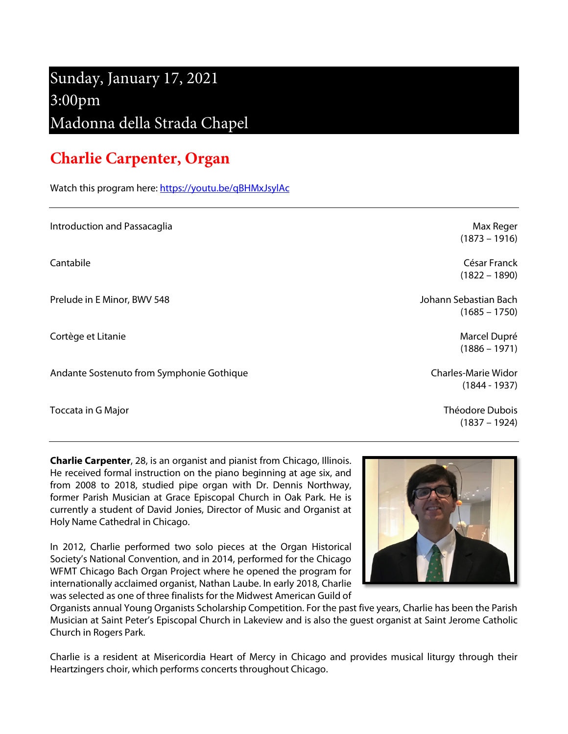# Sunday, January 17, 2021 3:00pm Madonna della Strada Chapel

# **Charlie Carpenter, Organ**

Watch this program here[: https://youtu.be/qBHMxJsylAc](https://youtu.be/qBHMxJsylAc)

| Introduction and Passacaglia              | Max Reger<br>$(1873 - 1916)$                  |
|-------------------------------------------|-----------------------------------------------|
| Cantabile                                 | César Franck<br>$(1822 - 1890)$               |
| Prelude in E Minor, BWV 548               | Johann Sebastian Bach<br>$(1685 - 1750)$      |
| Cortège et Litanie                        | Marcel Dupré<br>$(1886 - 1971)$               |
| Andante Sostenuto from Symphonie Gothique | <b>Charles-Marie Widor</b><br>$(1844 - 1937)$ |
| Toccata in G Major                        | Théodore Dubois<br>$(1837 - 1924)$            |

**Charlie Carpenter**, 28, is an organist and pianist from Chicago, Illinois. He received formal instruction on the piano beginning at age six, and from 2008 to 2018, studied pipe organ with Dr. Dennis Northway, former Parish Musician at Grace Episcopal Church in Oak Park. He is currently a student of David Jonies, Director of Music and Organist at Holy Name Cathedral in Chicago.

In 2012, Charlie performed two solo pieces at the Organ Historical Society's National Convention, and in 2014, performed for the Chicago WFMT Chicago Bach Organ Project where he opened the program for internationally acclaimed organist, Nathan Laube. In early 2018, Charlie was selected as one of three finalists for the Midwest American Guild of



Organists annual Young Organists Scholarship Competition. For the past five years, Charlie has been the Parish Musician at Saint Peter's Episcopal Church in Lakeview and is also the guest organist at Saint Jerome Catholic Church in Rogers Park.

Charlie is a resident at Misericordia Heart of Mercy in Chicago and provides musical liturgy through their Heartzingers choir, which performs concerts throughout Chicago.